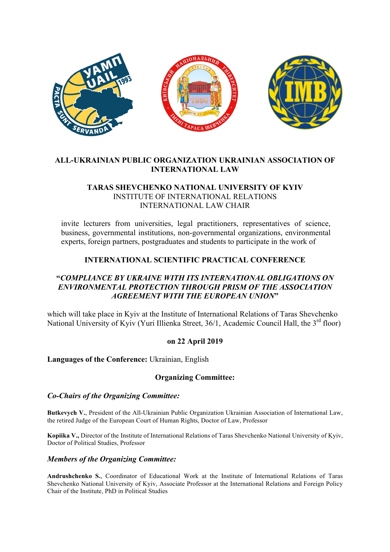

# **ALL-UKRAINIAN PUBLIC ORGANIZATION UKRAINIAN ASSOCIATION OF INTERNATIONAL LAW**

### **TARAS SHEVCHENKO NATIONAL UNIVERSITY OF KYIV**  INSTITUTE OF INTERNATIONAL RELATIONS INTERNATIONAL LAW CHAIR

invite lecturers from universities, legal practitioners, representatives of science, business, governmental institutions, non-governmental organizations, environmental experts, foreign partners, postgraduates and students to participate in the work of

# **INTERNATIONAL SCIENTIFIC PRACTICAL CONFERENCE**

# **"***COMPLIANCE BY UKRAINE WITH ITS INTERNATIONAL OBLIGATIONS ON ENVIRONMENTAL PROTECTION THROUGH PRISM OF THE ASSOCIATION AGREEMENT WITH THE EUROPEAN UNION***"**

which will take place in Kyiv at the Institute of International Relations of Taras Shevchenko National University of Kyiv (Yuri Illienka Street, 36/1, Academic Council Hall, the 3<sup>rd</sup> floor)

### **on 22 April 2019**

### **Languages of the Conference:** Ukrainian, English

### **Organizing Committee:**

#### *Co-Chairs of the Organizing Committee:*

**Butkevych V.**, President of the All-Ukrainian Public Organization Ukrainian Association of International Law, the retired Judge of the European Court of Human Rights, Doctor of Law, Professor

**Kopiika V.,** Director of the Institute of International Relations of Taras Shevchenko National University of Kyiv, Doctor of Political Studies, Professor

#### *Members of the Organizing Committee:*

**Andrushchenko S.**, Coordinator of Educational Work at the Institute of International Relations of Taras Shevchenko National University of Kyiv, Associate Professor at the International Relations and Foreign Policy Chair of the Institute, PhD in Political Studies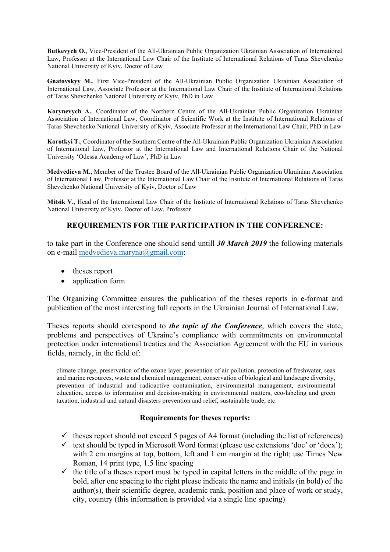**Butkevych O.**, Vice-President of the All-Ukrainian Public Organization Ukrainian Association of International Law, Professor at the International Law Chair of the Institute of International Relations of Taras Shevchenko National University of Kyiv, Doctor of Law

**Gnatovskyy M.**, First Vice-President of the All-Ukrainian Public Organization Ukrainian Association of International Law, Associate Professor at the International Law Chair of the Institute of International Relations of Taras Shevchenko National University of Kyiv, PhD in Law

**Korynevych A.**, Coordinator of the Northern Centre of the All-Ukrainian Public Organization Ukrainian Association of International Law, Coordinator of Scientific Work at the Institute of International Relations of Taras Shevchenko National University of Kyiv, Associate Professor at the International Law Chair, PhD in Law

**Korotkyi T.**, Coordinator of the Southern Centre of the All-Ukrainian Public Organization Ukrainian Association of International Law, Professor at the International Law and International Relations Chair of the National University 'Odessa Academy of Law', PhD in Law

**Medvedieva M.**, Member of the Trustee Board of the All-Ukrainian Public Organization Ukrainian Association of International Law, Professor at the International Law Chair of the Institute of International Relations of Taras Shevchenko National University of Kyiv, Doctor of Law

**Mitsik V.**, Head of the International Law Chair of the Institute of International Relations of Taras Shevchenko National University of Kyiv, Doctor of Law, Professor

# **REQUIREMENTS FOR THE PARTICIPATION IN THE CONFERENCE:**

to take part in the Conference one should send untill *30 March 2019* the following materials on e-mail medvedieva.maryna@gmail.com:

- theses report
- application form

The Organizing Committee ensures the publication of the theses reports in e-format and publication of the most interesting full reports in the Ukrainian Journal of International Law.

Theses reports should correspond to *the topic of the Conference*, which covers the state, problems and perspectives of Ukraine's compliance with commitments on environmental protection under international treaties and the Association Agreement with the EU in various fields, namely, in the field of:

climate change, preservation of the ozone layer, prevention of air pollution, protection of freshwater, seas and marine resources, waste and chemical management, conservation of biological and landscape diversity, prevention of industrial and radioactive contamination, environmental management, environmental education, access to information and decision-making in environmental matters, eco-labeling and green taxation, industrial and natural disasters prevention and relief, sustainable trade, etc.

### **Requirements for theses reports:**

- $\checkmark$  theses report should not exceed 5 pages of A4 format (including the list of references)
- $\checkmark$  text should be typed in Microsoft Word format (please use extensions 'doc' or 'docx'); with 2 cm margins at top, bottom, left and 1 cm margin at the right; use Times New Roman, 14 print type, 1.5 line spacing
- $\checkmark$  the title of a theses report must be typed in capital letters in the middle of the page in bold, after one spacing to the right please indicate the name and initials (in bold) of the author(s), their scientific degree, academic rank, position and place of work or study, city, country (this information is provided via a single line spacing)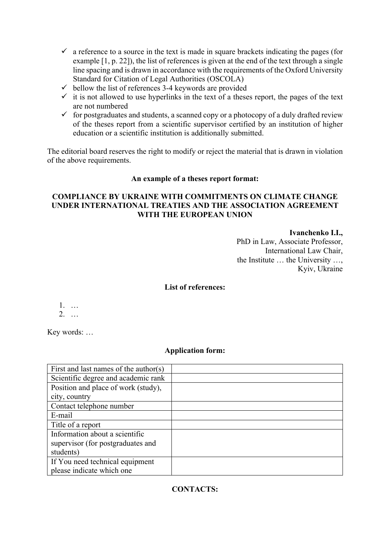- $\checkmark$  a reference to a source in the text is made in square brackets indicating the pages (for example [1, p. 22]), the list of references is given at the end of the text through a single line spacing and is drawn in accordance with the requirements of the Oxford University Standard for Citation of Legal Authorities (OSCOLA)
- $\checkmark$  bellow the list of references 3-4 keywords are provided
- $\checkmark$  it is not allowed to use hyperlinks in the text of a theses report, the pages of the text are not numbered
- $\checkmark$  for postgraduates and students, a scanned copy or a photocopy of a duly drafted review of the theses report from a scientific supervisor certified by an institution of higher education or a scientific institution is additionally submitted.

The editorial board reserves the right to modify or reject the material that is drawn in violation of the above requirements.

# **An example of a theses report format:**

# **COMPLIANCE BY UKRAINE WITH COMMITMENTS ON CLIMATE CHANGE UNDER INTERNATIONAL TREATIES AND THE ASSOCIATION AGREEMENT WITH THE EUROPEAN UNION**

**Ivanchenko I.I.,** PhD in Law, Associate Professor, International Law Chair, the Institute … the University …, Kyiv, Ukraine

# **List of references:**

1. … 2. …

Key words: …

### **Application form:**

| First and last names of the author(s) |  |
|---------------------------------------|--|
| Scientific degree and academic rank   |  |
| Position and place of work (study),   |  |
| city, country                         |  |
| Contact telephone number              |  |
| E-mail                                |  |
| Title of a report                     |  |
| Information about a scientific        |  |
| supervisor (for postgraduates and     |  |
| students)                             |  |
| If You need technical equipment       |  |
| please indicate which one             |  |

# **CONTACTS:**